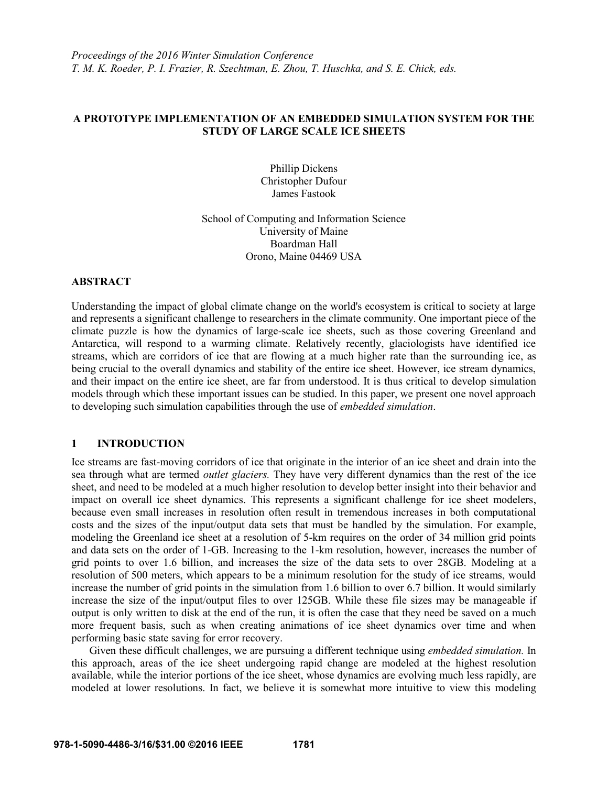# **A PROTOTYPE IMPLEMENTATION OF AN EMBEDDED SIMULATION SYSTEM FOR THE STUDY OF LARGE SCALE ICE SHEETS**

Phillip Dickens Christopher Dufour James Fastook

School of Computing and Information Science University of Maine Boardman Hall Orono, Maine 04469 USA

## **ABSTRACT**

Understanding the impact of global climate change on the world's ecosystem is critical to society at large and represents a significant challenge to researchers in the climate community. One important piece of the climate puzzle is how the dynamics of large-scale ice sheets, such as those covering Greenland and Antarctica, will respond to a warming climate. Relatively recently, glaciologists have identified ice streams, which are corridors of ice that are flowing at a much higher rate than the surrounding ice, as being crucial to the overall dynamics and stability of the entire ice sheet. However, ice stream dynamics, and their impact on the entire ice sheet, are far from understood. It is thus critical to develop simulation models through which these important issues can be studied. In this paper, we present one novel approach to developing such simulation capabilities through the use of *embedded simulation*.

## **1 INTRODUCTION**

Ice streams are fast-moving corridors of ice that originate in the interior of an ice sheet and drain into the sea through what are termed *outlet glaciers.* They have very different dynamics than the rest of the ice sheet, and need to be modeled at a much higher resolution to develop better insight into their behavior and impact on overall ice sheet dynamics. This represents a significant challenge for ice sheet modelers, because even small increases in resolution often result in tremendous increases in both computational costs and the sizes of the input/output data sets that must be handled by the simulation. For example, modeling the Greenland ice sheet at a resolution of 5-km requires on the order of 34 million grid points and data sets on the order of 1-GB. Increasing to the 1-km resolution, however, increases the number of grid points to over 1.6 billion, and increases the size of the data sets to over 28GB. Modeling at a resolution of 500 meters, which appears to be a minimum resolution for the study of ice streams, would increase the number of grid points in the simulation from 1.6 billion to over 6.7 billion. It would similarly increase the size of the input/output files to over 125GB. While these file sizes may be manageable if output is only written to disk at the end of the run, it is often the case that they need be saved on a much more frequent basis, such as when creating animations of ice sheet dynamics over time and when performing basic state saving for error recovery.

Given these difficult challenges, we are pursuing a different technique using *embedded simulation.* In this approach, areas of the ice sheet undergoing rapid change are modeled at the highest resolution available, while the interior portions of the ice sheet, whose dynamics are evolving much less rapidly, are modeled at lower resolutions. In fact, we believe it is somewhat more intuitive to view this modeling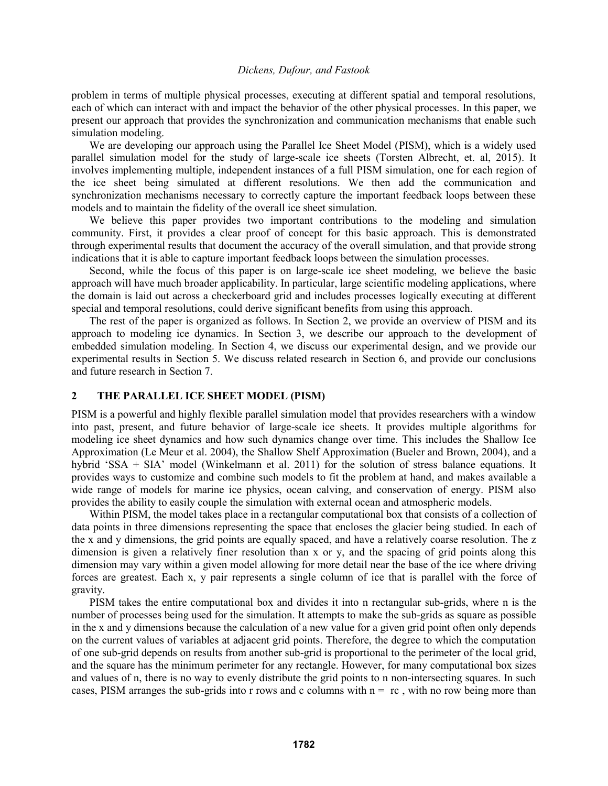problem in terms of multiple physical processes, executing at different spatial and temporal resolutions, each of which can interact with and impact the behavior of the other physical processes. In this paper, we present our approach that provides the synchronization and communication mechanisms that enable such simulation modeling.

We are developing our approach using the Parallel Ice Sheet Model (PISM), which is a widely used parallel simulation model for the study of large-scale ice sheets (Torsten Albrecht, et. al, 2015). It involves implementing multiple, independent instances of a full PISM simulation, one for each region of the ice sheet being simulated at different resolutions. We then add the communication and synchronization mechanisms necessary to correctly capture the important feedback loops between these models and to maintain the fidelity of the overall ice sheet simulation.

We believe this paper provides two important contributions to the modeling and simulation community. First, it provides a clear proof of concept for this basic approach. This is demonstrated through experimental results that document the accuracy of the overall simulation, and that provide strong indications that it is able to capture important feedback loops between the simulation processes.

Second, while the focus of this paper is on large-scale ice sheet modeling, we believe the basic approach will have much broader applicability. In particular, large scientific modeling applications, where the domain is laid out across a checkerboard grid and includes processes logically executing at different special and temporal resolutions, could derive significant benefits from using this approach.

The rest of the paper is organized as follows. In Section 2, we provide an overview of PISM and its approach to modeling ice dynamics. In Section 3, we describe our approach to the development of embedded simulation modeling. In Section 4, we discuss our experimental design, and we provide our experimental results in Section 5. We discuss related research in Section 6, and provide our conclusions and future research in Section 7.

#### **2 THE PARALLEL ICE SHEET MODEL (PISM)**

PISM is a powerful and highly flexible parallel simulation model that provides researchers with a window into past, present, and future behavior of large-scale ice sheets. It provides multiple algorithms for modeling ice sheet dynamics and how such dynamics change over time. This includes the Shallow Ice Approximation (Le Meur et al. 2004), the Shallow Shelf Approximation (Bueler and Brown, 2004), and a hybrid 'SSA + SIA' model (Winkelmann et al. 2011) for the solution of stress balance equations. It provides ways to customize and combine such models to fit the problem at hand, and makes available a wide range of models for marine ice physics, ocean calving, and conservation of energy. PISM also provides the ability to easily couple the simulation with external ocean and atmospheric models.

Within PISM, the model takes place in a rectangular computational box that consists of a collection of data points in three dimensions representing the space that encloses the glacier being studied. In each of the x and y dimensions, the grid points are equally spaced, and have a relatively coarse resolution. The z dimension is given a relatively finer resolution than x or y, and the spacing of grid points along this dimension may vary within a given model allowing for more detail near the base of the ice where driving forces are greatest. Each x, y pair represents a single column of ice that is parallel with the force of gravity.

PISM takes the entire computational box and divides it into n rectangular sub-grids, where n is the number of processes being used for the simulation. It attempts to make the sub-grids as square as possible in the x and y dimensions because the calculation of a new value for a given grid point often only depends on the current values of variables at adjacent grid points. Therefore, the degree to which the computation of one sub-grid depends on results from another sub-grid is proportional to the perimeter of the local grid, and the square has the minimum perimeter for any rectangle. However, for many computational box sizes and values of n, there is no way to evenly distribute the grid points to n non-intersecting squares. In such cases, PISM arranges the sub-grids into r rows and c columns with  $n = rc$ , with no row being more than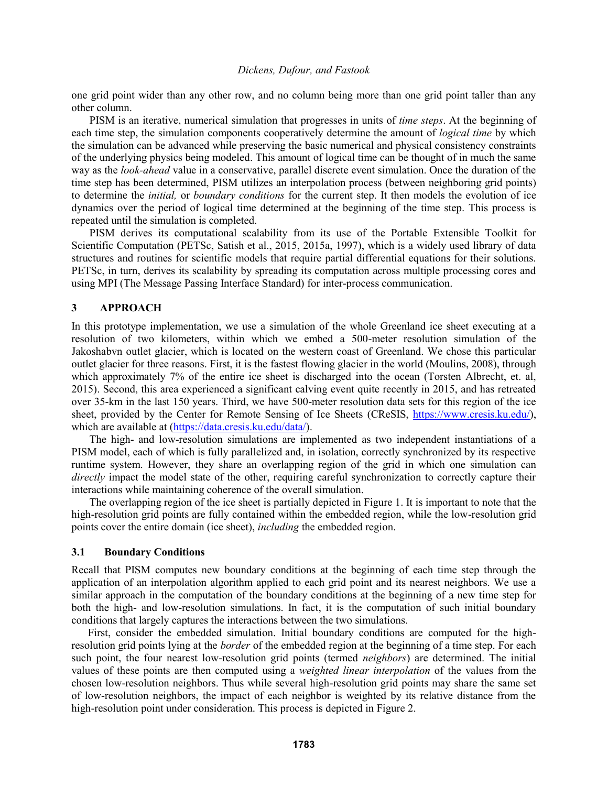one grid point wider than any other row, and no column being more than one grid point taller than any other column.

PISM is an iterative, numerical simulation that progresses in units of *time steps*. At the beginning of each time step, the simulation components cooperatively determine the amount of *logical time* by which the simulation can be advanced while preserving the basic numerical and physical consistency constraints of the underlying physics being modeled. This amount of logical time can be thought of in much the same way as the *look-ahead* value in a conservative, parallel discrete event simulation. Once the duration of the time step has been determined, PISM utilizes an interpolation process (between neighboring grid points) to determine the *initial,* or *boundary conditions* for the current step. It then models the evolution of ice dynamics over the period of logical time determined at the beginning of the time step. This process is repeated until the simulation is completed.

PISM derives its computational scalability from its use of the Portable Extensible Toolkit for Scientific Computation (PETSc, Satish et al., 2015, 2015a, 1997), which is a widely used library of data structures and routines for scientific models that require partial differential equations for their solutions. PETSc, in turn, derives its scalability by spreading its computation across multiple processing cores and using MPI (The Message Passing Interface Standard) for inter-process communication.

# **3 APPROACH**

In this prototype implementation, we use a simulation of the whole Greenland ice sheet executing at a resolution of two kilometers, within which we embed a 500-meter resolution simulation of the Jakoshabvn outlet glacier, which is located on the western coast of Greenland. We chose this particular outlet glacier for three reasons. First, it is the fastest flowing glacier in the world (Moulins, 2008), through which approximately 7% of the entire ice sheet is discharged into the ocean (Torsten Albrecht, et. al, 2015). Second, this area experienced a significant calving event quite recently in 2015, and has retreated over 35-km in the last 150 years. Third, we have 500-meter resolution data sets for this region of the ice sheet, provided by the Center for Remote Sensing of Ice Sheets (CReSIS, https://www.cresis.ku.edu/), which are available at (https://data.cresis.ku.edu/data/).

The high- and low-resolution simulations are implemented as two independent instantiations of a PISM model, each of which is fully parallelized and, in isolation, correctly synchronized by its respective runtime system. However, they share an overlapping region of the grid in which one simulation can *directly* impact the model state of the other, requiring careful synchronization to correctly capture their interactions while maintaining coherence of the overall simulation.

The overlapping region of the ice sheet is partially depicted in Figure 1. It is important to note that the high-resolution grid points are fully contained within the embedded region, while the low-resolution grid points cover the entire domain (ice sheet), *including* the embedded region.

## **3.1 Boundary Conditions**

Recall that PISM computes new boundary conditions at the beginning of each time step through the application of an interpolation algorithm applied to each grid point and its nearest neighbors. We use a similar approach in the computation of the boundary conditions at the beginning of a new time step for both the high- and low-resolution simulations. In fact, it is the computation of such initial boundary conditions that largely captures the interactions between the two simulations.

 First, consider the embedded simulation. Initial boundary conditions are computed for the highresolution grid points lying at the *border* of the embedded region at the beginning of a time step. For each such point, the four nearest low-resolution grid points (termed *neighbors*) are determined. The initial values of these points are then computed using a *weighted linear interpolation* of the values from the chosen low-resolution neighbors. Thus while several high-resolution grid points may share the same set of low-resolution neighbors, the impact of each neighbor is weighted by its relative distance from the high-resolution point under consideration. This process is depicted in Figure 2.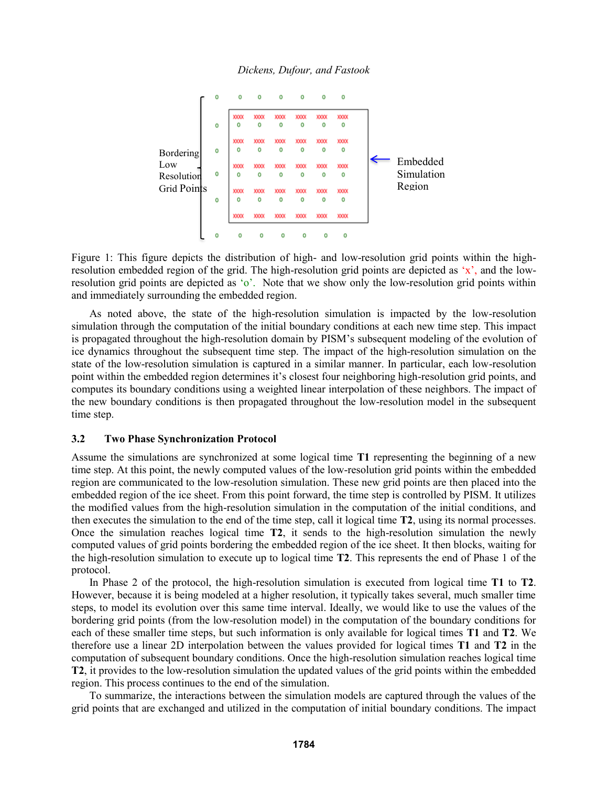*Dickens, Dufour, and Fastook*



Figure 1: This figure depicts the distribution of high- and low-resolution grid points within the highresolution embedded region of the grid. The high-resolution grid points are depicted as 'x', and the lowresolution grid points are depicted as 'o'. Note that we show only the low-resolution grid points within and immediately surrounding the embedded region.

As noted above, the state of the high-resolution simulation is impacted by the low-resolution simulation through the computation of the initial boundary conditions at each new time step. This impact is propagated throughout the high-resolution domain by PISM's subsequent modeling of the evolution of ice dynamics throughout the subsequent time step. The impact of the high-resolution simulation on the state of the low-resolution simulation is captured in a similar manner. In particular, each low-resolution point within the embedded region determines it's closest four neighboring high-resolution grid points, and computes its boundary conditions using a weighted linear interpolation of these neighbors. The impact of the new boundary conditions is then propagated throughout the low-resolution model in the subsequent time step.

## **3.2 Two Phase Synchronization Protocol**

Assume the simulations are synchronized at some logical time **T1** representing the beginning of a new time step. At this point, the newly computed values of the low-resolution grid points within the embedded region are communicated to the low-resolution simulation. These new grid points are then placed into the embedded region of the ice sheet. From this point forward, the time step is controlled by PISM. It utilizes the modified values from the high-resolution simulation in the computation of the initial conditions, and then executes the simulation to the end of the time step, call it logical time **T2**, using its normal processes. Once the simulation reaches logical time **T2**, it sends to the high-resolution simulation the newly computed values of grid points bordering the embedded region of the ice sheet. It then blocks, waiting for the high-resolution simulation to execute up to logical time **T2**. This represents the end of Phase 1 of the protocol.

In Phase 2 of the protocol, the high-resolution simulation is executed from logical time **T1** to **T2**. However, because it is being modeled at a higher resolution, it typically takes several, much smaller time steps, to model its evolution over this same time interval. Ideally, we would like to use the values of the bordering grid points (from the low-resolution model) in the computation of the boundary conditions for each of these smaller time steps, but such information is only available for logical times **T1** and **T2**. We therefore use a linear 2D interpolation between the values provided for logical times **T1** and **T2** in the computation of subsequent boundary conditions. Once the high-resolution simulation reaches logical time **T2**, it provides to the low-resolution simulation the updated values of the grid points within the embedded region. This process continues to the end of the simulation.

To summarize, the interactions between the simulation models are captured through the values of the grid points that are exchanged and utilized in the computation of initial boundary conditions. The impact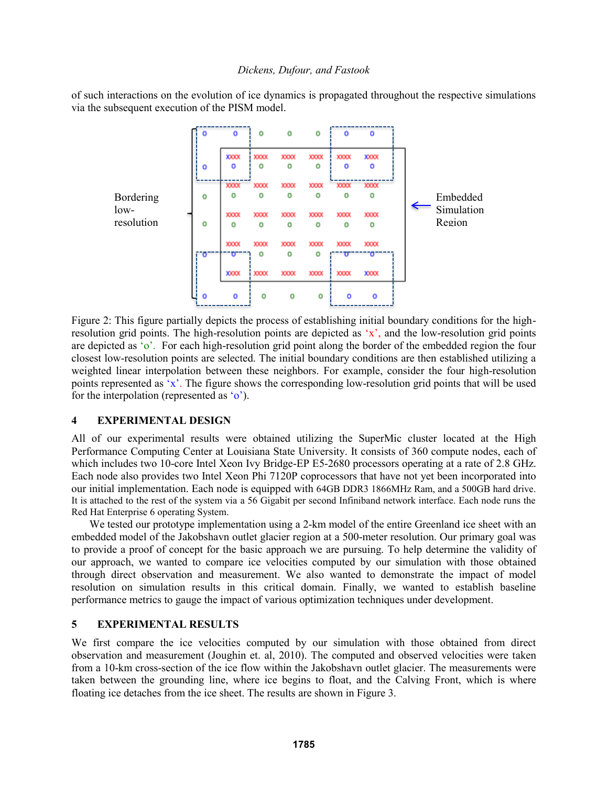of such interactions on the evolution of ice dynamics is propagated throughout the respective simulations via the subsequent execution of the PISM model.



Figure 2: This figure partially depicts the process of establishing initial boundary conditions for the highresolution grid points. The high-resolution points are depicted as  $x'$ , and the low-resolution grid points are depicted as 'o'. For each high-resolution grid point along the border of the embedded region the four closest low-resolution points are selected. The initial boundary conditions are then established utilizing a weighted linear interpolation between these neighbors. For example, consider the four high-resolution points represented as 'x'. The figure shows the corresponding low-resolution grid points that will be used for the interpolation (represented as  $\sigma$ ).

## **4 EXPERIMENTAL DESIGN**

All of our experimental results were obtained utilizing the SuperMic cluster located at the High Performance Computing Center at Louisiana State University. It consists of 360 compute nodes, each of which includes two 10-core Intel Xeon Ivy Bridge-EP E5-2680 processors operating at a rate of 2.8 GHz. Each node also provides two Intel Xeon Phi 7120P coprocessors that have not yet been incorporated into our initial implementation. Each node is equipped with 64GB DDR3 1866MHz Ram, and a 500GB hard drive. It is attached to the rest of the system via a 56 Gigabit per second Infiniband network interface. Each node runs the Red Hat Enterprise 6 operating System.

We tested our prototype implementation using a 2-km model of the entire Greenland ice sheet with an embedded model of the Jakobshavn outlet glacier region at a 500-meter resolution. Our primary goal was to provide a proof of concept for the basic approach we are pursuing. To help determine the validity of our approach, we wanted to compare ice velocities computed by our simulation with those obtained through direct observation and measurement. We also wanted to demonstrate the impact of model resolution on simulation results in this critical domain. Finally, we wanted to establish baseline performance metrics to gauge the impact of various optimization techniques under development.

# **5 EXPERIMENTAL RESULTS**

We first compare the ice velocities computed by our simulation with those obtained from direct observation and measurement (Joughin et. al, 2010). The computed and observed velocities were taken from a 10-km cross-section of the ice flow within the Jakobshavn outlet glacier. The measurements were taken between the grounding line, where ice begins to float, and the Calving Front, which is where floating ice detaches from the ice sheet. The results are shown in Figure 3.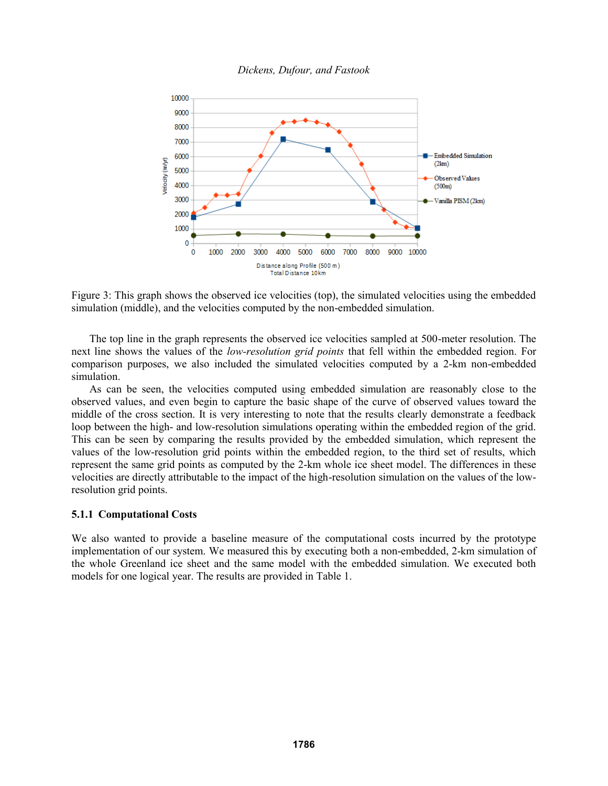

*Dickens, Dufour, and Fastook*

Figure 3: This graph shows the observed ice velocities (top), the simulated velocities using the embedded simulation (middle), and the velocities computed by the non-embedded simulation.

The top line in the graph represents the observed ice velocities sampled at 500-meter resolution. The next line shows the values of the *low-resolution grid points* that fell within the embedded region. For comparison purposes, we also included the simulated velocities computed by a 2-km non-embedded simulation.

As can be seen, the velocities computed using embedded simulation are reasonably close to the observed values, and even begin to capture the basic shape of the curve of observed values toward the middle of the cross section. It is very interesting to note that the results clearly demonstrate a feedback loop between the high- and low-resolution simulations operating within the embedded region of the grid. This can be seen by comparing the results provided by the embedded simulation, which represent the values of the low-resolution grid points within the embedded region, to the third set of results, which represent the same grid points as computed by the 2-km whole ice sheet model. The differences in these velocities are directly attributable to the impact of the high-resolution simulation on the values of the lowresolution grid points.

## **5.1.1 Computational Costs**

We also wanted to provide a baseline measure of the computational costs incurred by the prototype implementation of our system. We measured this by executing both a non-embedded, 2-km simulation of the whole Greenland ice sheet and the same model with the embedded simulation. We executed both models for one logical year. The results are provided in Table 1.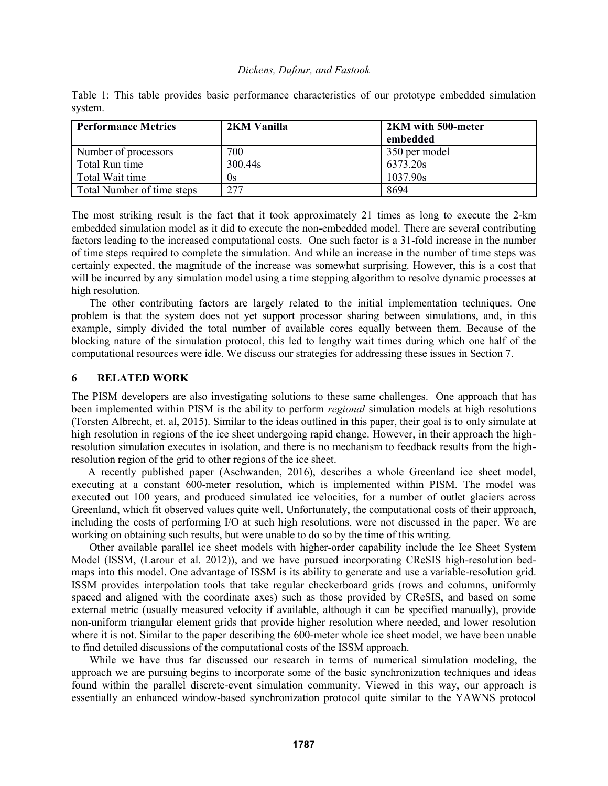| <b>Performance Metrics</b> | 2KM Vanilla | 2KM with 500-meter<br>embedded |
|----------------------------|-------------|--------------------------------|
| Number of processors       | 700         | 350 per model                  |
| Total Run time             | 300.44s     | 6373.20s                       |
| Total Wait time            | 0s          | 1037.90s                       |
| Total Number of time steps | 2.77        | 8694                           |

Table 1: This table provides basic performance characteristics of our prototype embedded simulation system.

The most striking result is the fact that it took approximately 21 times as long to execute the 2-km embedded simulation model as it did to execute the non-embedded model. There are several contributing factors leading to the increased computational costs. One such factor is a 31-fold increase in the number of time steps required to complete the simulation. And while an increase in the number of time steps was certainly expected, the magnitude of the increase was somewhat surprising. However, this is a cost that will be incurred by any simulation model using a time stepping algorithm to resolve dynamic processes at high resolution.

The other contributing factors are largely related to the initial implementation techniques. One problem is that the system does not yet support processor sharing between simulations, and, in this example, simply divided the total number of available cores equally between them. Because of the blocking nature of the simulation protocol, this led to lengthy wait times during which one half of the computational resources were idle. We discuss our strategies for addressing these issues in Section 7.

## **6 RELATED WORK**

The PISM developers are also investigating solutions to these same challenges. One approach that has been implemented within PISM is the ability to perform *regional* simulation models at high resolutions (Torsten Albrecht, et. al, 2015). Similar to the ideas outlined in this paper, their goal is to only simulate at high resolution in regions of the ice sheet undergoing rapid change. However, in their approach the highresolution simulation executes in isolation, and there is no mechanism to feedback results from the highresolution region of the grid to other regions of the ice sheet.

 A recently published paper (Aschwanden, 2016), describes a whole Greenland ice sheet model, executing at a constant 600-meter resolution, which is implemented within PISM. The model was executed out 100 years, and produced simulated ice velocities, for a number of outlet glaciers across Greenland, which fit observed values quite well. Unfortunately, the computational costs of their approach, including the costs of performing I/O at such high resolutions, were not discussed in the paper. We are working on obtaining such results, but were unable to do so by the time of this writing.

Other available parallel ice sheet models with higher-order capability include the Ice Sheet System Model (ISSM, (Larour et al. 2012)), and we have pursued incorporating CReSIS high-resolution bedmaps into this model. One advantage of ISSM is its ability to generate and use a variable-resolution grid. ISSM provides interpolation tools that take regular checkerboard grids (rows and columns, uniformly spaced and aligned with the coordinate axes) such as those provided by CReSIS, and based on some external metric (usually measured velocity if available, although it can be specified manually), provide non-uniform triangular element grids that provide higher resolution where needed, and lower resolution where it is not. Similar to the paper describing the 600-meter whole ice sheet model, we have been unable to find detailed discussions of the computational costs of the ISSM approach.

While we have thus far discussed our research in terms of numerical simulation modeling, the approach we are pursuing begins to incorporate some of the basic synchronization techniques and ideas found within the parallel discrete-event simulation community. Viewed in this way, our approach is essentially an enhanced window-based synchronization protocol quite similar to the YAWNS protocol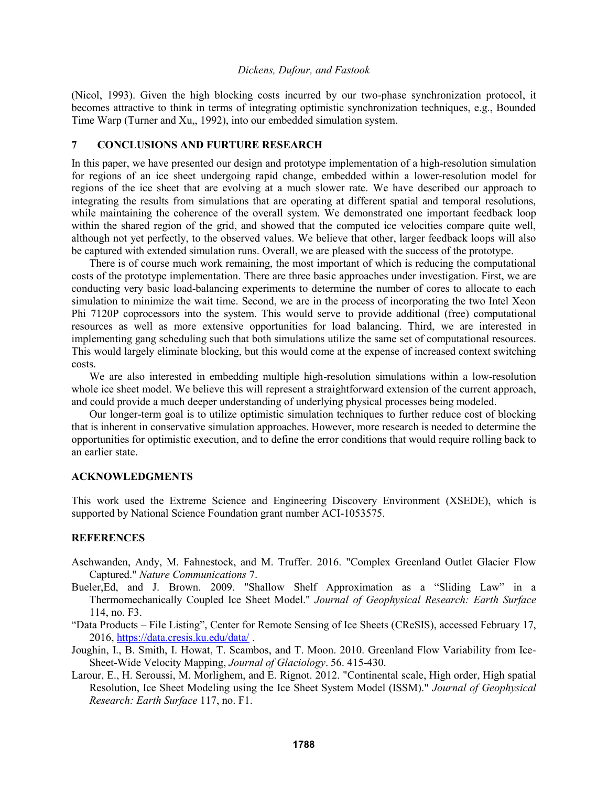(Nicol, 1993). Given the high blocking costs incurred by our two-phase synchronization protocol, it becomes attractive to think in terms of integrating optimistic synchronization techniques, e.g., Bounded Time Warp (Turner and Xu,, 1992), into our embedded simulation system.

# **7 CONCLUSIONS AND FURTURE RESEARCH**

In this paper, we have presented our design and prototype implementation of a high-resolution simulation for regions of an ice sheet undergoing rapid change, embedded within a lower-resolution model for regions of the ice sheet that are evolving at a much slower rate. We have described our approach to integrating the results from simulations that are operating at different spatial and temporal resolutions, while maintaining the coherence of the overall system. We demonstrated one important feedback loop within the shared region of the grid, and showed that the computed ice velocities compare quite well, although not yet perfectly, to the observed values. We believe that other, larger feedback loops will also be captured with extended simulation runs. Overall, we are pleased with the success of the prototype.

There is of course much work remaining, the most important of which is reducing the computational costs of the prototype implementation. There are three basic approaches under investigation. First, we are conducting very basic load-balancing experiments to determine the number of cores to allocate to each simulation to minimize the wait time. Second, we are in the process of incorporating the two Intel Xeon Phi 7120P coprocessors into the system. This would serve to provide additional (free) computational resources as well as more extensive opportunities for load balancing. Third, we are interested in implementing gang scheduling such that both simulations utilize the same set of computational resources. This would largely eliminate blocking, but this would come at the expense of increased context switching costs.

We are also interested in embedding multiple high-resolution simulations within a low-resolution whole ice sheet model. We believe this will represent a straightforward extension of the current approach, and could provide a much deeper understanding of underlying physical processes being modeled.

Our longer-term goal is to utilize optimistic simulation techniques to further reduce cost of blocking that is inherent in conservative simulation approaches. However, more research is needed to determine the opportunities for optimistic execution, and to define the error conditions that would require rolling back to an earlier state.

#### **ACKNOWLEDGMENTS**

This work used the Extreme Science and Engineering Discovery Environment (XSEDE), which is supported by National Science Foundation grant number ACI-1053575.

## **REFERENCES**

- Aschwanden, Andy, M. Fahnestock, and M. Truffer. 2016. "Complex Greenland Outlet Glacier Flow Captured." *Nature Communications* 7.
- Bueler,Ed, and J. Brown. 2009. "Shallow Shelf Approximation as a "Sliding Law" in a Thermomechanically Coupled Ice Sheet Model." *Journal of Geophysical Research: Earth Surface* 114, no. F3.
- "Data Products File Listing", Center for Remote Sensing of Ice Sheets (CReSIS), accessed February 17, 2016, https://data.cresis.ku.edu/data/ .
- Joughin, I., B. Smith, I. Howat, T. Scambos, and T. Moon. 2010. Greenland Flow Variability from Ice-Sheet-Wide Velocity Mapping, *Journal of Glaciology*. 56. 415-430.
- Larour, E., H. Seroussi, M. Morlighem, and E. Rignot. 2012. "Continental scale, High order, High spatial Resolution, Ice Sheet Modeling using the Ice Sheet System Model (ISSM)." *Journal of Geophysical Research: Earth Surface* 117, no. F1.